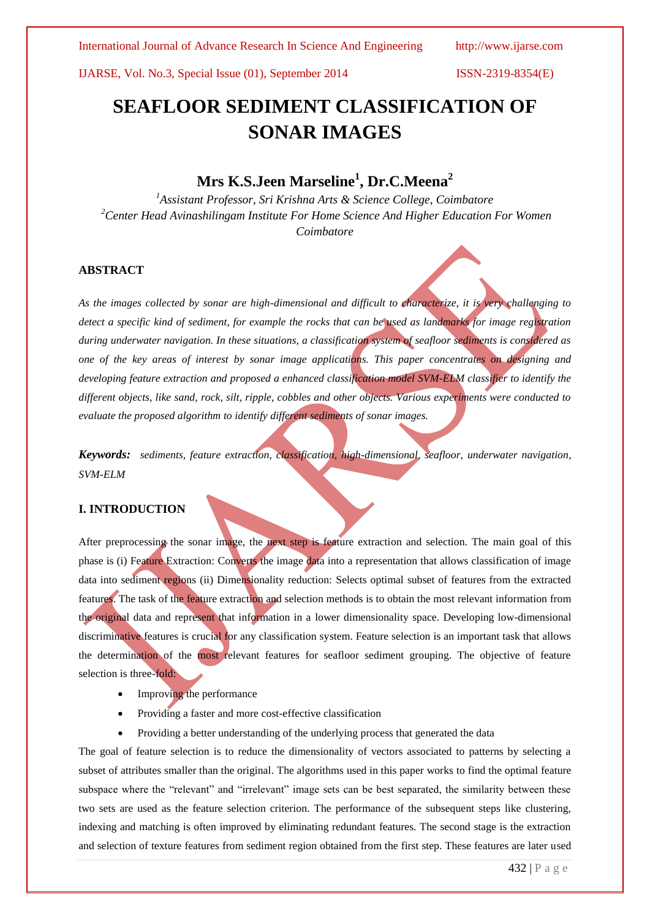# **SEAFLOOR SEDIMENT CLASSIFICATION OF SONAR IMAGES**

## **Mrs K.S.Jeen Marseline<sup>1</sup> , Dr.C.Meena<sup>2</sup>**

*<sup>1</sup>Assistant Professor, Sri Krishna Arts & Science College, Coimbatore <sup>2</sup>Center Head Avinashilingam Institute For Home Science And Higher Education For Women Coimbatore*

#### **ABSTRACT**

*As the images collected by sonar are high-dimensional and difficult to characterize, it is very challenging to detect a specific kind of sediment, for example the rocks that can be used as landmarks for image registration during underwater navigation. In these situations, a classification system of seafloor sediments is considered as one of the key areas of interest by sonar image applications. This paper concentrates on designing and developing feature extraction and proposed a enhanced classification model SVM-ELM classifier to identify the different objects, like sand, rock, silt, ripple, cobbles and other objects. Various experiments were conducted to evaluate the proposed algorithm to identify different sediments of sonar images.*

*Keywords: sediments, feature extraction, classification, high-dimensional, seafloor, underwater navigation, SVM-ELM*

### **I. INTRODUCTION**

After preprocessing the sonar image, the next step is feature extraction and selection. The main goal of this phase is (i) Feature Extraction: Converts the image data into a representation that allows classification of image data into sediment regions (ii) Dimensionality reduction: Selects optimal subset of features from the extracted features. The task of the feature extraction and selection methods is to obtain the most relevant information from the original data and represent that information in a lower dimensionality space. Developing low-dimensional discriminative features is crucial for any classification system. Feature selection is an important task that allows the determination of the most relevant features for seafloor sediment grouping. The objective of feature selection is three-fold:

- Improving the performance
- Providing a faster and more cost-effective classification
- Providing a better understanding of the underlying process that generated the data

The goal of feature selection is to reduce the dimensionality of vectors associated to patterns by selecting a subset of attributes smaller than the original. The algorithms used in this paper works to find the optimal feature subspace where the "relevant" and "irrelevant" image sets can be best separated, the similarity between these two sets are used as the feature selection criterion. The performance of the subsequent steps like clustering, indexing and matching is often improved by eliminating redundant features. The second stage is the extraction and selection of texture features from sediment region obtained from the first step. These features are later used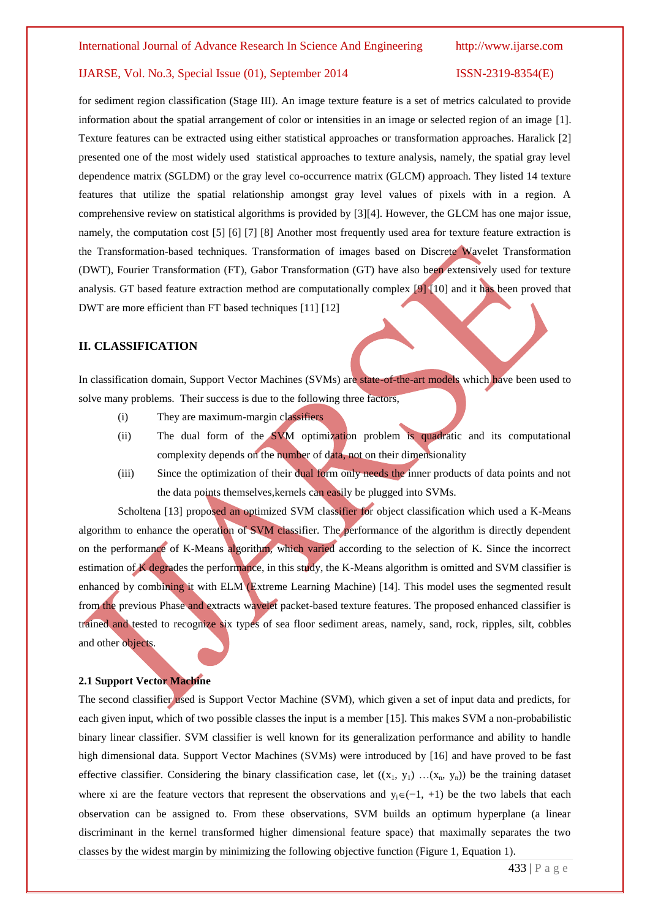for sediment region classification (Stage III). An image texture feature is a set of metrics calculated to provide information about the spatial arrangement of color or intensities in an image or selected region of an image [1]. Texture features can be extracted using either statistical approaches or transformation approaches. Haralick [2] presented one of the most widely used statistical approaches to texture analysis, namely, the spatial gray level dependence matrix (SGLDM) or the gray level co-occurrence matrix (GLCM) approach. They listed 14 texture features that utilize the spatial relationship amongst gray level values of pixels with in a region. A comprehensive review on statistical algorithms is provided by [3][4]. However, the GLCM has one major issue, namely, the computation cost [5] [6] [7] [8] Another most frequently used area for texture feature extraction is the Transformation-based techniques. Transformation of images based on Discrete Wavelet Transformation (DWT), Fourier Transformation (FT), Gabor Transformation (GT) have also been extensively used for texture analysis. GT based feature extraction method are computationally complex [9] [10] and it has been proved that DWT are more efficient than FT based techniques [11] [12]

#### **II. CLASSIFICATION**

In classification domain, Support Vector Machines (SVMs) are state-of-the-art models which have been used to solve many problems. Their success is due to the following three factors,

- (i) They are maximum-margin classifiers
- (ii) The dual form of the SVM optimization problem is quadratic and its computational complexity depends on the number of data, not on their dimensionality
- (iii) Since the optimization of their dual form only needs the inner products of data points and not the data points themselves,kernels can easily be plugged into SVMs.

Scholtena [13] proposed an optimized SVM classifier for object classification which used a K-Means algorithm to enhance the operation of SVM classifier. The performance of the algorithm is directly dependent on the performance of K-Means algorithm, which varied according to the selection of K. Since the incorrect estimation of K degrades the performance, in this study, the K-Means algorithm is omitted and SVM classifier is enhanced by combining it with ELM (Extreme Learning Machine) [14]. This model uses the segmented result from the previous Phase and extracts wavelet packet-based texture features. The proposed enhanced classifier is trained and tested to recognize six types of sea floor sediment areas, namely, sand, rock, ripples, silt, cobbles and other objects.

#### **2.1 Support Vector Machine**

The second classifier used is Support Vector Machine (SVM), which given a set of input data and predicts, for each given input, which of two possible classes the input is a member [15]. This makes SVM a non-probabilistic binary linear classifier. SVM classifier is well known for its generalization performance and ability to handle high dimensional data. Support Vector Machines (SVMs) were introduced by [16] and have proved to be fast effective classifier. Considering the binary classification case, let  $((x_1, y_1)$  ... $(x_n, y_n))$  be the training dataset where xi are the feature vectors that represent the observations and  $y_i\in(-1, +1)$  be the two labels that each observation can be assigned to. From these observations, SVM builds an optimum hyperplane (a linear discriminant in the kernel transformed higher dimensional feature space) that maximally separates the two classes by the widest margin by minimizing the following objective function (Figure 1, Equation 1).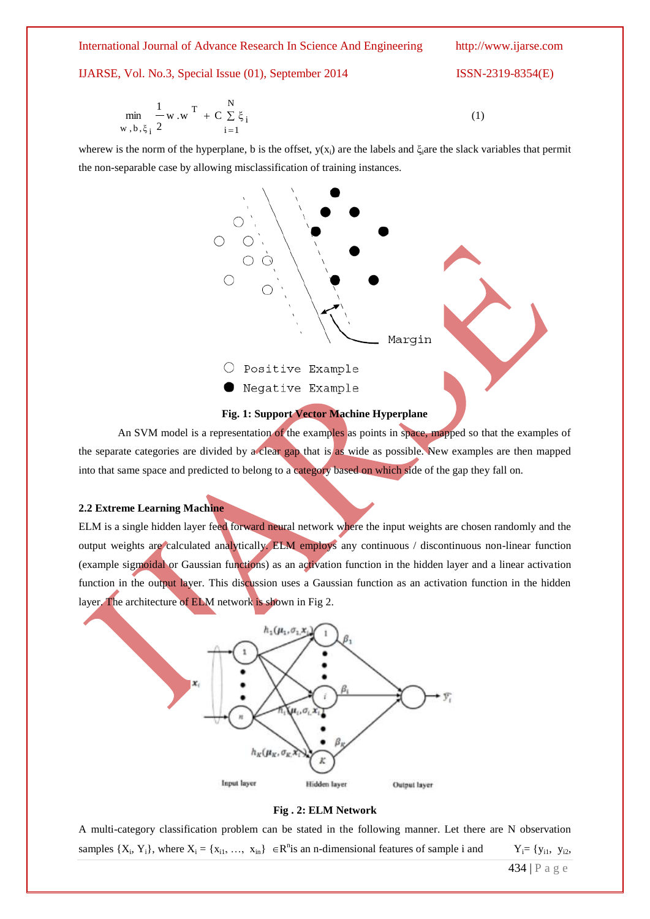International Journal of Advance Research In Science And Engineering http://www.ijarse.com

#### IJARSE, Vol. No.3, Special Issue (01), September 2014 ISSN-2319-8354(E)

$$
\min_{w, b, \xi_{i}} \frac{1}{2} w.w^{T} + C \sum_{i=1}^{N} \xi_{i}
$$
 (1)

wherew is the norm of the hyperplane, b is the offset,  $y(x_i)$  are the labels and  $\xi_i$  are the slack variables that permit the non-separable case by allowing misclassification of training instances.





An SVM model is a representation of the examples as points in space, mapped so that the examples of the separate categories are divided by a clear gap that is as wide as possible. New examples are then mapped into that same space and predicted to belong to a category based on which side of the gap they fall on.

#### **2.2 Extreme Learning Machine**

ELM is a single hidden layer feed forward neural network where the input weights are chosen randomly and the output weights are calculated analytically. ELM employs any continuous / discontinuous non-linear function (example sigmoidal or Gaussian functions) as an activation function in the hidden layer and a linear activation function in the output layer. This discussion uses a Gaussian function as an activation function in the hidden layer. The architecture of ELM network is shown in Fig 2.



**Fig . 2: ELM Network**

A multi-category classification problem can be stated in the following manner. Let there are N observation samples  $\{X_i, Y_i\}$ , where  $X_i = \{x_{i1}, ..., x_{in}\}$   $\in \mathbb{R}^n$  is an n-dimensional features of sample i and  $Y_i = \{y_{i1}, y_{i2}, \dots, y_{in}\}$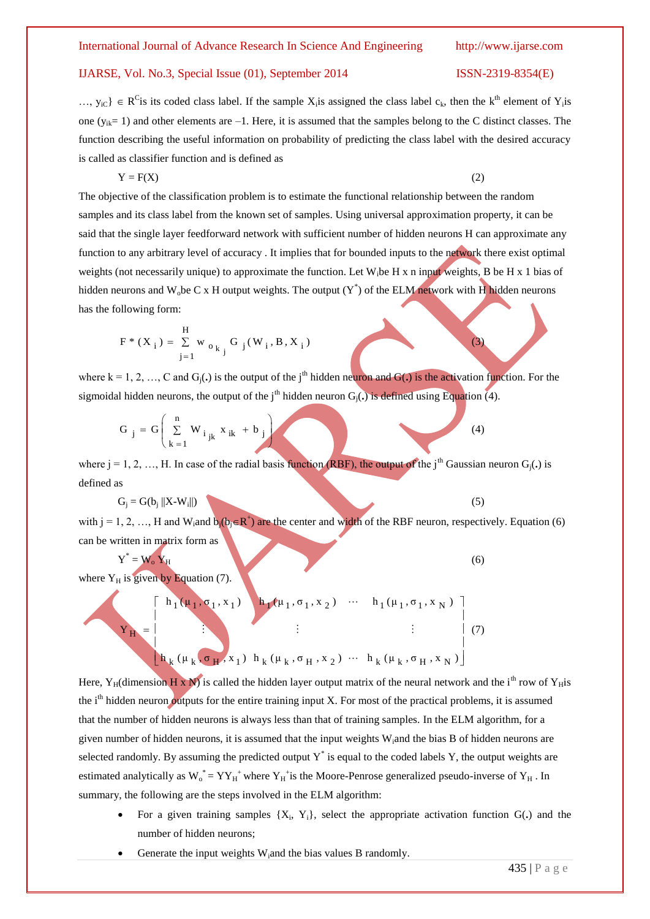$..., y_{iC}$   $\in R^C$  is its coded class label. If the sample  $X_i$  is assigned the class label  $c_k$ , then the k<sup>th</sup> element of  $Y_i$  is one ( $y_{ik}= 1$ ) and other elements are  $-1$ . Here, it is assumed that the samples belong to the C distinct classes. The function describing the useful information on probability of predicting the class label with the desired accuracy is called as classifier function and is defined as

$$
Y = F(X) \tag{2}
$$

The objective of the classification problem is to estimate the functional relationship between the random samples and its class label from the known set of samples. Using universal approximation property, it can be said that the single layer feedforward network with sufficient number of hidden neurons H can approximate any function to any arbitrary level of accuracy . It implies that for bounded inputs to the network there exist optimal weights (not necessarily unique) to approximate the function. Let W<sub>i</sub>be H x n input weights, B be H x 1 bias of hidden neurons and W<sub>o</sub>be C x H output weights. The output  $(Y^*)$  of the ELM network with H hidden neurons has the following form:

$$
F * (X_i) = \sum_{j=1}^{H} w_{o_{k_j}} G_j(W_i, B, X_i)
$$

where  $k = 1, 2, \ldots, C$  and  $G_i(.)$  is the output of the j<sup>th</sup> hidden neuron and  $G(.)$  is the activation function. For the sigmoidal hidden neurons, the output of the i<sup>th</sup> hidden neuron  $G_i(\cdot)$  is defined using Equation (4).

$$
G_j = G\left(\sum_{k=1}^n W_{i_{jk}} x_{ik} + b_j\right)
$$
 (4)

where  $j = 1, 2, ..., H$ . In case of the radial basis function (RBF), the output of the j<sup>th</sup> Gaussian neuron  $G_i(\cdot)$  is defined as

$$
G_j = G(b_j ||X-W_i||) \tag{5}
$$

with  $j = 1, 2, ..., H$  and  $W_i$  and  $b_j(b_j \in R^+)$  are the center and width of the RBF neuron, respectively. Equation (6) can be written in matrix form as

$$
Y^* = W_0 Y_H
$$
 (6)

where  $Y_H$  is given by Equation (7).

$$
\mathbf{Y}_{\mathbf{H}} = \begin{bmatrix} h_1(\mu_1, \sigma_1, x_1) & h_1(\mu_1, \sigma_1, x_2) & \cdots & h_1(\mu_1, \sigma_1, x_N) \\ \vdots & & \vdots \\ h_k(\mu_k, \sigma_{\mathbf{H}}, x_1) & h_k(\mu_k, \sigma_{\mathbf{H}}, x_2) & \cdots & h_k(\mu_k, \sigma_{\mathbf{H}}, x_N) \end{bmatrix} (7)
$$

Here, Y<sub>H</sub>(dimension H x N) is called the hidden layer output matrix of the neural network and the i<sup>th</sup> row of Y<sub>H</sub>is the  $i<sup>th</sup>$  hidden neuron outputs for the entire training input X. For most of the practical problems, it is assumed that the number of hidden neurons is always less than that of training samples. In the ELM algorithm, for a given number of hidden neurons, it is assumed that the input weights Wiand the bias B of hidden neurons are selected randomly. By assuming the predicted output  $Y^*$  is equal to the coded labels Y, the output weights are estimated analytically as  $W_0^* = YY_H^+$  where  $Y_H^+$  is the Moore-Penrose generalized pseudo-inverse of  $Y_H$ . In summary, the following are the steps involved in the ELM algorithm:

- For a given training samples  $\{X_i, Y_i\}$ , select the appropriate activation function  $G(.)$  and the number of hidden neurons;
- Generate the input weights W<sub>i</sub>and the bias values B randomly.

(3)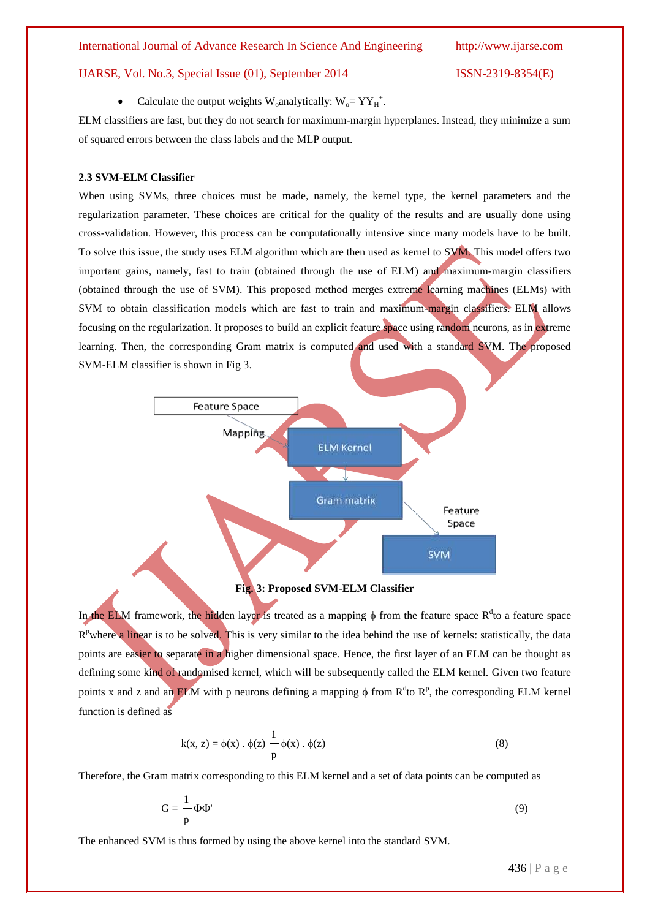• Calculate the output weights W<sub>o</sub>analytically:  $W_0 = YY_H^+$ .

ELM classifiers are fast, but they do not search for maximum-margin hyperplanes. Instead, they minimize a sum of squared errors between the class labels and the MLP output.

#### **2.3 SVM-ELM Classifier**

When using SVMs, three choices must be made, namely, the kernel type, the kernel parameters and the regularization parameter. These choices are critical for the quality of the results and are usually done using cross-validation. However, this process can be computationally intensive since many models have to be built. To solve this issue, the study uses ELM algorithm which are then used as kernel to SVM. This model offers two important gains, namely, fast to train (obtained through the use of ELM) and maximum-margin classifiers (obtained through the use of SVM). This proposed method merges extreme learning machines (ELMs) with SVM to obtain classification models which are fast to train and maximum-margin classifiers. ELM allows focusing on the regularization. It proposes to build an explicit feature space using random neurons, as in extreme learning. Then, the corresponding Gram matrix is computed and used with a standard SVM. The proposed SVM-ELM classifier is shown in Fig 3.



#### **Fig. 3: Proposed SVM-ELM Classifier**

In the ELM framework, the hidden layer is treated as a mapping  $\phi$  from the feature space  $R<sup>d</sup>$ to a feature space R<sup>p</sup>where a linear is to be solved. This is very similar to the idea behind the use of kernels: statistically, the data points are easier to separate in a higher dimensional space. Hence, the first layer of an ELM can be thought as defining some kind of randomised kernel, which will be subsequently called the ELM kernel. Given two feature points x and z and an ELM with p neurons defining a mapping  $\phi$  from  $R^d$ to  $R^p$ , the corresponding ELM kernel function is defined as

$$
k(x, z) = \phi(x) \cdot \phi(z) \frac{1}{p} \phi(x) \cdot \phi(z)
$$
 (8)

Therefore, the Gram matrix corresponding to this ELM kernel and a set of data points can be computed as

$$
G = -\frac{1}{p}\Phi\Phi'
$$
 (9)

The enhanced SVM is thus formed by using the above kernel into the standard SVM.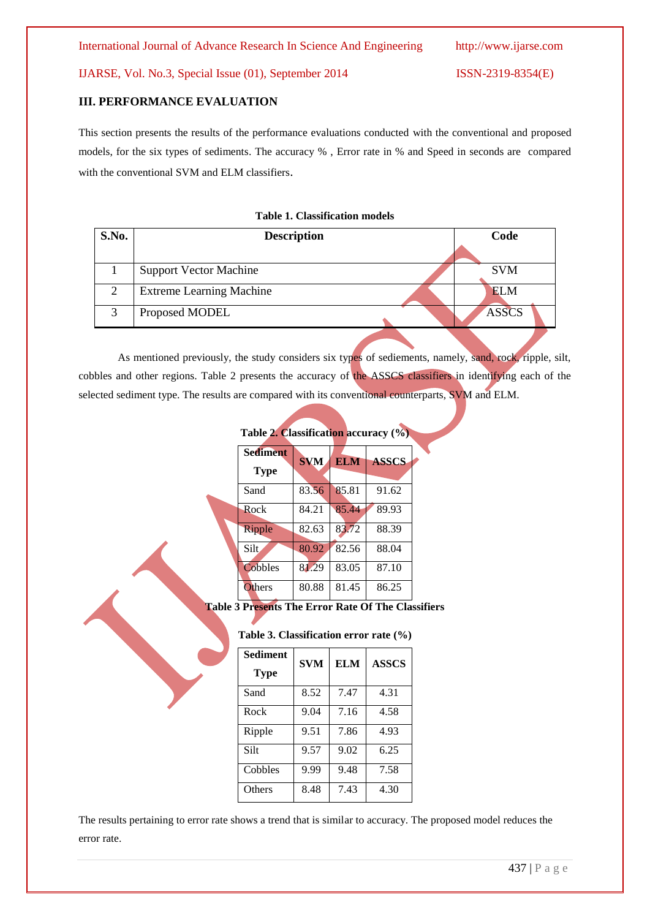#### **III. PERFORMANCE EVALUATION**

This section presents the results of the performance evaluations conducted with the conventional and proposed models, for the six types of sediments. The accuracy % , Error rate in % and Speed in seconds are compared with the conventional SVM and ELM classifiers.

#### **Table 1. Classification models**

| S.No.             | <b>Description</b>              | Code         |  |
|-------------------|---------------------------------|--------------|--|
|                   |                                 |              |  |
|                   | <b>Support Vector Machine</b>   | <b>SVM</b>   |  |
| $\gamma$          | <b>Extreme Learning Machine</b> | <b>ELM</b>   |  |
| $\mathbf{\Omega}$ | Proposed MODEL                  | <b>ASSCS</b> |  |
|                   |                                 |              |  |

As mentioned previously, the study considers six types of sediements, namely, sand, rock, ripple, silt, cobbles and other regions. Table 2 presents the accuracy of the ASSCS classifiers in identifying each of the selected sediment type. The results are compared with its conventional counterparts, SVM and ELM.

| Table 2. Classification accuracy (%) |            |            |              |  |
|--------------------------------------|------------|------------|--------------|--|
| <b>Sediment</b>                      | <b>SVM</b> | <b>ELM</b> | <b>ASSCS</b> |  |
| Type                                 |            |            |              |  |
| Sand                                 | 83.56      | 85.81      | 91.62        |  |
| Rock                                 | 84.21      | 85.44      | 89.93        |  |
| Ripple                               | 82.63      | 83.72      | 88.39        |  |
| Silt                                 | 80.92      | 82.56      | 88.04        |  |
| Cobbles                              | 81.29      | 83.05      | 87.10        |  |
| Others                               | 80.88      | 81.45      | 86.25        |  |

**Table 3 Presents The Error Rate Of The Classifiers**

|  |  | Table 3. Classification error rate (%) |  |  |  |
|--|--|----------------------------------------|--|--|--|
|--|--|----------------------------------------|--|--|--|

| <b>Sediment</b><br><b>Type</b> | <b>SVM</b> | <b>ELM</b> | <b>ASSCS</b> |
|--------------------------------|------------|------------|--------------|
| Sand                           | 8.52       | 7.47       | 4.31         |
| Rock                           | 9.04       | 7.16       | 4.58         |
| Ripple                         | 9.51       | 7.86       | 4.93         |
| Silt                           | 9.57       | 9.02       | 6.25         |
| Cobbles                        | 9.99       | 9.48       | 7.58         |
| Others                         | 8.48       | 7.43       | 4.30         |

The results pertaining to error rate shows a trend that is similar to accuracy. The proposed model reduces the error rate.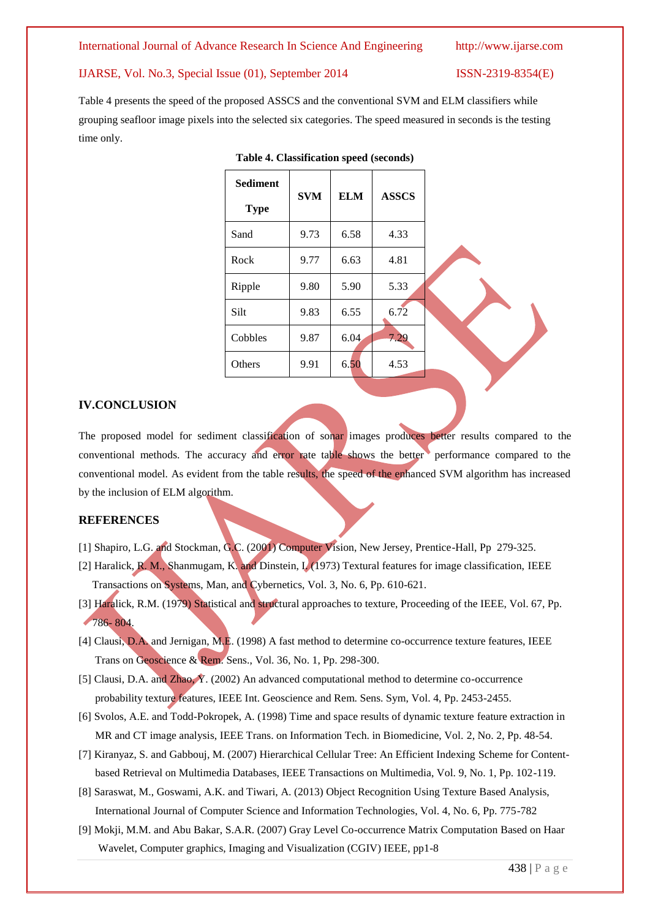#### International Journal of Advance Research In Science And Engineering http://www.ijarse.com

#### IJARSE, Vol. No.3, Special Issue (01), September 2014 ISSN-2319-8354(E)

Table 4 presents the speed of the proposed ASSCS and the conventional SVM and ELM classifiers while grouping seafloor image pixels into the selected six categories. The speed measured in seconds is the testing time only.

| <b>Sediment</b><br><b>Type</b> | <b>SVM</b> | <b>ELM</b> | <b>ASSCS</b> |  |
|--------------------------------|------------|------------|--------------|--|
| Sand                           | 9.73       | 6.58       | 4.33         |  |
| Rock                           | 9.77       | 6.63       | 4.81         |  |
| Ripple                         | 9.80       | 5.90       | 5.33         |  |
| Silt                           | 9.83       | 6.55       | 6.72         |  |
| Cobbles                        | 9.87       | 6.04       | 7.29         |  |
| Others                         | 9.91       | 6.50       | 4.53         |  |

#### **Table 4. Classification speed (seconds)**

#### **IV.CONCLUSION**

The proposed model for sediment classification of sonar images produces better results compared to the conventional methods. The accuracy and error rate table shows the better performance compared to the conventional model. As evident from the table results, the speed of the enhanced SVM algorithm has increased by the inclusion of ELM algorithm.

#### **REFERENCES**

- [1] Shapiro, L.G. and Stockman, G.C. (2001) Computer Vision, New Jersey, Prentice-Hall, Pp 279-325.
- [2] Haralick, R. M., Shanmugam, K. and Dinstein, I. (1973) Textural features for image classification, IEEE Transactions on Systems, Man, and Cybernetics, Vol. 3, No. 6, Pp. 610-621.
- [3] Haralick, R.M. (1979) Statistical and structural approaches to texture, Proceeding of the IEEE, Vol. 67, Pp. 786- 804.
- [4] Clausi, D.A. and Jernigan, M.E. (1998) A fast method to determine co-occurrence texture features, IEEE Trans on Geoscience & Rem. Sens., Vol. 36, No. 1, Pp. 298-300.
- [5] Clausi, D.A. and Zhao, Y. (2002) An advanced computational method to determine co-occurrence probability texture features, IEEE Int. Geoscience and Rem. Sens. Sym, Vol. 4, Pp. 2453-2455.
- [6] Svolos, A.E. and Todd-Pokropek, A. (1998) Time and space results of dynamic texture feature extraction in MR and CT image analysis, IEEE Trans. on Information Tech. in Biomedicine, Vol. 2, No. 2, Pp. 48-54.
- [7] Kiranyaz, S. and Gabbouj, M. (2007) Hierarchical Cellular Tree: An Efficient Indexing Scheme for Content based Retrieval on Multimedia Databases, IEEE Transactions on Multimedia, Vol. 9, No. 1, Pp. 102-119.
- [8] Saraswat, M., Goswami, A.K. and Tiwari, A. (2013) Object Recognition Using Texture Based Analysis, International Journal of Computer Science and Information Technologies, Vol. 4, No. 6, Pp. 775-782
- [9] Mokji, M.M. and Abu Bakar, S.A.R. (2007) Gray Level Co-occurrence Matrix Computation Based on Haar Wavelet, Computer graphics, Imaging and Visualization (CGIV) IEEE, pp1-8